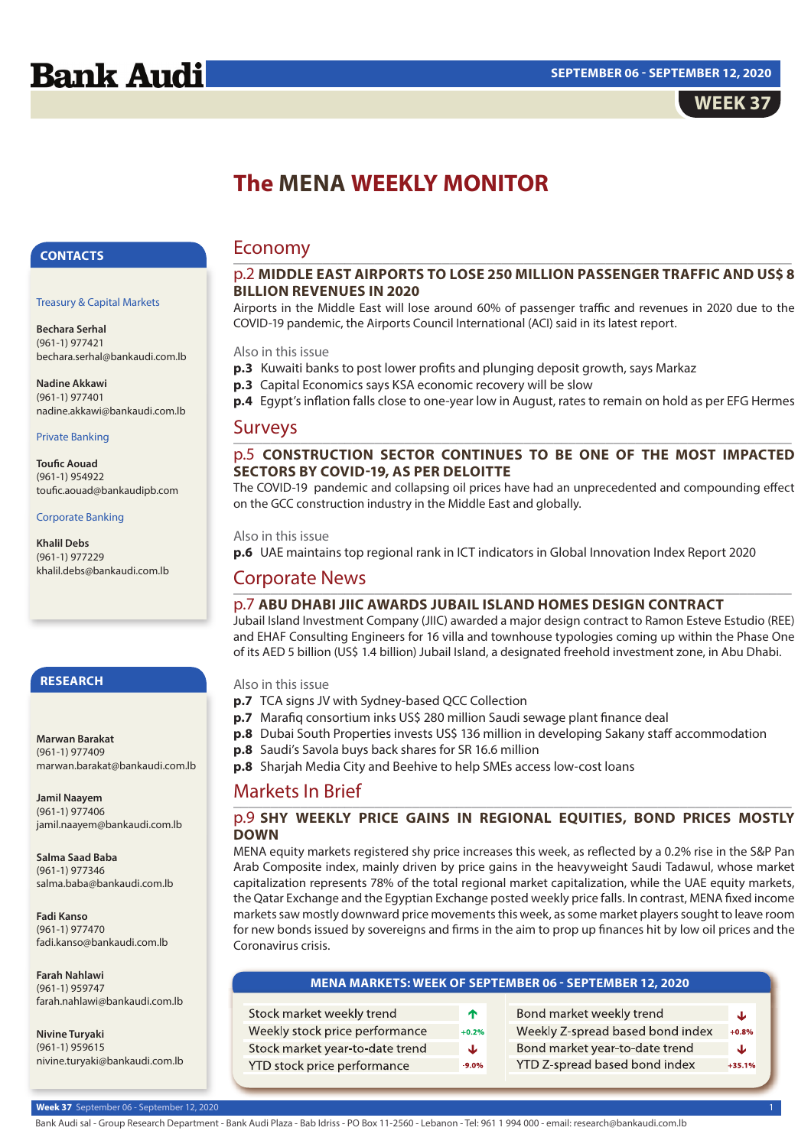

# **The MENA WEEKLY MONITOR**

## **CONTACTS**

#### Treasury & Capital Markets

**Bechara Serhal** (961-1) 977421 bechara.serhal@bankaudi.com.lb

**Nadine Akkawi** (961-1) 977401 nadine.akkawi@bankaudi.com.lb

### Private Banking

**Toufic Aouad** (961-1) 954922 toufic.aouad@bankaudipb.com

### Corporate Banking

**Khalil Debs** (961-1) 977229 khalil.debs@bankaudi.com.lb

## **RESEARCH**

#### **Marwan Barakat** (961-1) 977409 marwan.barakat@bankaudi.com.lb

**Jamil Naayem** (961-1) 977406 jamil.naayem@bankaudi.com.lb

**Salma Saad Baba** (961-1) 977346 salma.baba@bankaudi.com.lb

**Fadi Kanso** (961-1) 977470 fadi.kanso@bankaudi.com.lb

**Farah Nahlawi** (961-1) 959747 farah.nahlawi@bankaudi.com.lb

**Nivine Turyaki** (961-1) 959615 nivine.turyaki@bankaudi.com.lb

## Economy

## \_\_\_\_\_\_\_\_\_\_\_\_\_\_\_\_\_\_\_\_\_\_\_\_\_\_\_\_\_\_\_\_\_\_\_\_\_\_\_\_\_\_\_\_\_\_\_\_\_\_\_\_\_\_\_\_\_\_\_\_\_\_\_\_\_\_\_\_\_\_\_\_\_\_\_ p.2 **MIDDLE EAST AIRPORTS TO LOSE 250 MILLION PASSENGER TRAFFIC AND US\$ 8 BILLION REVENUES IN 2020**

Airports in the Middle East will lose around 60% of passenger traffic and revenues in 2020 due to the COVID-19 pandemic, the Airports Council International (ACI) said in its latest report.

## Also in this issue

**p.3** Kuwaiti banks to post lower profits and plunging deposit growth, says Markaz

**p.3** Capital Economics says KSA economic recovery will be slow

**p.4** Egypt's inflation falls close to one-year low in August, rates to remain on hold as per EFG Hermes

#### Surveys \_\_\_\_\_\_\_\_\_\_\_\_\_\_\_\_\_\_\_\_\_\_\_\_\_\_\_\_\_\_\_\_\_\_\_\_\_\_\_\_\_\_\_\_\_\_\_\_\_\_\_\_\_\_\_\_\_\_\_\_\_\_\_\_\_\_\_\_\_\_\_\_\_\_\_

## p.5 **CONSTRUCTION SECTOR CONTINUES TO BE ONE OF THE MOST IMPACTED SECTORS BY COVID-19, AS PER DELOITTE**

The COVID-19 pandemic and collapsing oil prices have had an unprecedented and compounding effect on the GCC construction industry in the Middle East and globally.

## Also in this issue

**p.6** UAE maintains top regional rank in ICT indicators in Global Innovation Index Report 2020

#### Corporate News \_\_\_\_\_\_\_\_\_\_\_\_\_\_\_\_\_\_\_\_\_\_\_\_\_\_\_\_\_\_\_\_\_\_\_\_\_\_\_\_\_\_\_\_\_\_\_\_\_\_\_\_\_\_\_\_\_\_\_\_\_\_\_\_\_\_\_\_\_\_\_\_\_\_\_

## p.7 **ABU DHABI JIIC AWARDS JUBAIL ISLAND HOMES DESIGN CONTRACT**

Jubail Island Investment Company (JIIC) awarded a major design contract to Ramon Esteve Estudio (REE) and EHAF Consulting Engineers for 16 villa and townhouse typologies coming up within the Phase One of its AED 5 billion (US\$ 1.4 billion) Jubail Island, a designated freehold investment zone, in Abu Dhabi.

## Also in this issue

- **p.7** TCA signs JV with Sydney-based QCC Collection
- **p.7** Marafiq consortium inks US\$ 280 million Saudi sewage plant finance deal
- **p.8** Dubai South Properties invests US\$ 136 million in developing Sakany staff accommodation
- **p.8** Saudi's Savola buys back shares for SR 16.6 million
- **p.8** Sharjah Media City and Beehive to help SMEs access low-cost loans

### Markets In Brief \_\_\_\_\_\_\_\_\_\_\_\_\_\_\_\_\_\_\_\_\_\_\_\_\_\_\_\_\_\_\_\_\_\_\_\_\_\_\_\_\_\_\_\_\_\_\_\_\_\_\_\_\_\_\_\_\_\_\_\_\_\_\_\_\_\_\_\_\_\_\_\_\_\_\_

## p.9 **SHY WEEKLY PRICE GAINS IN REGIONAL EQUITIES, BOND PRICES MOSTLY DOWN**

MENA equity markets registered shy price increases this week, as reflected by a 0.2% rise in the S&P Pan Arab Composite index, mainly driven by price gains in the heavyweight Saudi Tadawul, whose market capitalization represents 78% of the total regional market capitalization, while the UAE equity markets, the Qatar Exchange and the Egyptian Exchange posted weekly price falls. In contrast, MENA fixed income markets saw mostly downward price movements this week, as some market players sought to leave room for new bonds issued by sovereigns and firms in the aim to prop up finances hit by low oil prices and the Coronavirus crisis.

| <b>MENA MARKETS: WEEK OF SEPTEMBER 06 - SEPTEMBER 12, 2020</b> |         |                                  |         |  |  |  |  |  |
|----------------------------------------------------------------|---------|----------------------------------|---------|--|--|--|--|--|
|                                                                |         |                                  |         |  |  |  |  |  |
| Stock market weekly trend                                      | ተ       | Bond market weekly trend         | J.      |  |  |  |  |  |
| Weekly stock price performance                                 | $+0.2%$ | Weekly Z-spread based bond index | $+0.8%$ |  |  |  |  |  |
| Stock market year-to-date trend                                | J       | Bond market year-to-date trend   |         |  |  |  |  |  |

YTD Z-spread based bond index

Stock market year-to-date trend YTD stock price performance

 $-9.0%$ 

 $+35.1%$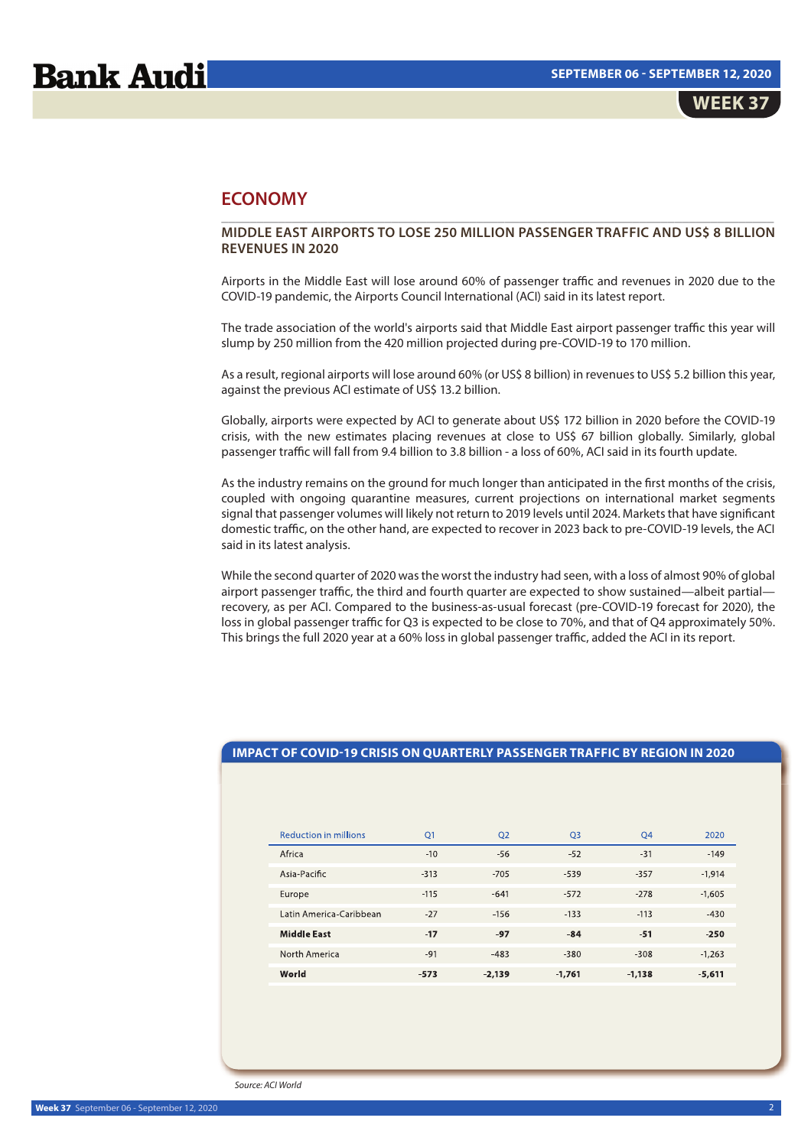## **ECONOMY**

### \_\_\_\_\_\_\_\_\_\_\_\_\_\_\_\_\_\_\_\_\_\_\_\_\_\_\_\_\_\_\_\_\_\_\_\_\_\_\_\_\_\_\_\_\_\_\_\_\_\_\_\_\_\_\_\_\_\_\_\_\_\_\_\_\_\_\_\_\_\_\_\_\_\_\_\_\_\_ **MIDDLE EAST AIRPORTS TO LOSE 250 MILLION PASSENGER TRAFFIC AND US\$ 8 BILLION REVENUES IN 2020**

Airports in the Middle East will lose around 60% of passenger traffic and revenues in 2020 due to the COVID-19 pandemic, the Airports Council International (ACI) said in its latest report.

The trade association of the world's airports said that Middle East airport passenger traffic this year will slump by 250 million from the 420 million projected during pre-COVID-19 to 170 million.

As a result, regional airports will lose around 60% (or US\$ 8 billion) in revenues to US\$ 5.2 billion this year, against the previous ACI estimate of US\$ 13.2 billion.

Globally, airports were expected by ACI to generate about US\$ 172 billion in 2020 before the COVID-19 crisis, with the new estimates placing revenues at close to US\$ 67 billion globally. Similarly, global passenger traffic will fall from 9.4 billion to 3.8 billion - a loss of 60%, ACI said in its fourth update.

As the industry remains on the ground for much longer than anticipated in the first months of the crisis, coupled with ongoing quarantine measures, current projections on international market segments signal that passenger volumes will likely not return to 2019 levels until 2024. Markets that have significant domestic traffic, on the other hand, are expected to recover in 2023 back to pre-COVID-19 levels, the ACI said in its latest analysis.

While the second quarter of 2020 was the worst the industry had seen, with a loss of almost 90% of global airport passenger traffic, the third and fourth quarter are expected to show sustained—albeit partial recovery, as per ACI. Compared to the business-as-usual forecast (pre-COVID-19 forecast for 2020), the loss in global passenger traffic for Q3 is expected to be close to 70%, and that of Q4 approximately 50%. This brings the full 2020 year at a 60% loss in global passenger traffic, added the ACI in its report.

## **IMPACT OF COVID-19 CRISIS ON QUARTERLY PASSENGER TRAFFIC BY REGION IN 2020**

| <b>Reduction in millions</b> | O <sub>1</sub> | O <sub>2</sub> | O <sub>3</sub> | <b>O4</b> | 2020     |
|------------------------------|----------------|----------------|----------------|-----------|----------|
| Africa                       | $-10$          | $-56$          | $-52$          | $-31$     | $-149$   |
| Asia-Pacific                 | $-313$         | $-705$         | $-539$         | $-357$    | $-1,914$ |
| Europe                       | $-115$         | $-641$         | $-572$         | $-278$    | $-1,605$ |
| Latin America-Caribbean      | $-27$          | $-156$         | $-133$         | $-113$    | $-430$   |
| <b>Middle East</b>           | $-17$          | $-97$          | $-84$          | $-51$     | $-250$   |
| North America                | $-91$          | $-483$         | $-380$         | $-308$    | $-1,263$ |
| World                        | $-573$         | $-2,139$       | $-1,761$       | $-1,138$  | $-5,611$ |

Source: ACI World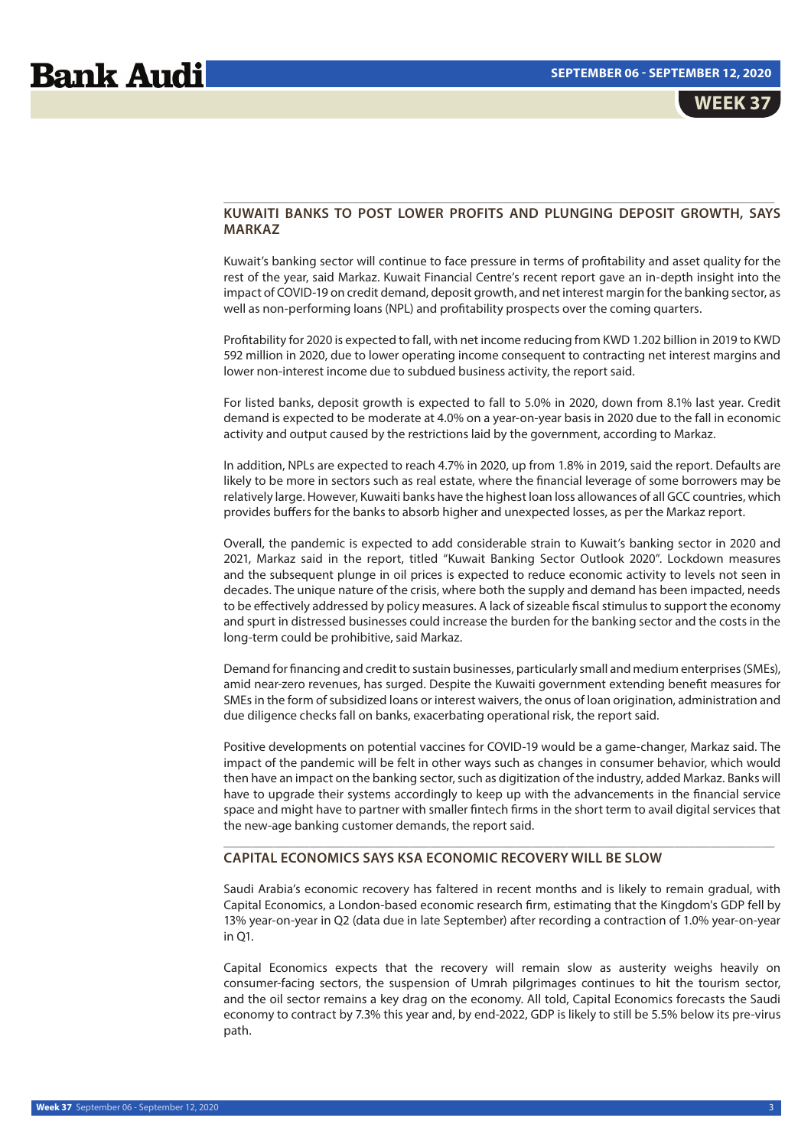## **KUWAITI BANKS TO POST LOWER PROFITS AND PLUNGING DEPOSIT GROWTH, SAYS MARKAZ**

\_\_\_\_\_\_\_\_\_\_\_\_\_\_\_\_\_\_\_\_\_\_\_\_\_\_\_\_\_\_\_\_\_\_\_\_\_\_\_\_\_\_\_\_\_\_\_\_\_\_\_\_\_\_\_\_\_\_\_\_\_\_\_\_\_\_\_\_\_\_\_\_\_\_\_\_\_

Kuwait's banking sector will continue to face pressure in terms of profitability and asset quality for the rest of the year, said Markaz. Kuwait Financial Centre's recent report gave an in-depth insight into the impact of COVID-19 on credit demand, deposit growth, and net interest margin for the banking sector, as well as non-performing loans (NPL) and profitability prospects over the coming quarters.

Profitability for 2020 is expected to fall, with net income reducing from KWD 1.202 billion in 2019 to KWD 592 million in 2020, due to lower operating income consequent to contracting net interest margins and lower non-interest income due to subdued business activity, the report said.

For listed banks, deposit growth is expected to fall to 5.0% in 2020, down from 8.1% last year. Credit demand is expected to be moderate at 4.0% on a year-on-year basis in 2020 due to the fall in economic activity and output caused by the restrictions laid by the government, according to Markaz.

In addition, NPLs are expected to reach 4.7% in 2020, up from 1.8% in 2019, said the report. Defaults are likely to be more in sectors such as real estate, where the financial leverage of some borrowers may be relatively large. However, Kuwaiti banks have the highest loan loss allowances of all GCC countries, which provides buffers for the banks to absorb higher and unexpected losses, as per the Markaz report.

Overall, the pandemic is expected to add considerable strain to Kuwait's banking sector in 2020 and 2021, Markaz said in the report, titled "Kuwait Banking Sector Outlook 2020". Lockdown measures and the subsequent plunge in oil prices is expected to reduce economic activity to levels not seen in decades. The unique nature of the crisis, where both the supply and demand has been impacted, needs to be effectively addressed by policy measures. A lack of sizeable fiscal stimulus to support the economy and spurt in distressed businesses could increase the burden for the banking sector and the costs in the long-term could be prohibitive, said Markaz.

Demand for financing and credit to sustain businesses, particularly small and medium enterprises (SMEs), amid near-zero revenues, has surged. Despite the Kuwaiti government extending benefit measures for SMEs in the form of subsidized loans or interest waivers, the onus of loan origination, administration and due diligence checks fall on banks, exacerbating operational risk, the report said.

Positive developments on potential vaccines for COVID-19 would be a game-changer, Markaz said. The impact of the pandemic will be felt in other ways such as changes in consumer behavior, which would then have an impact on the banking sector, such as digitization of the industry, added Markaz. Banks will have to upgrade their systems accordingly to keep up with the advancements in the financial service space and might have to partner with smaller fintech firms in the short term to avail digital services that the new-age banking customer demands, the report said.

\_\_\_\_\_\_\_\_\_\_\_\_\_\_\_\_\_\_\_\_\_\_\_\_\_\_\_\_\_\_\_\_\_\_\_\_\_\_\_\_\_\_\_\_\_\_\_\_\_\_\_\_\_\_\_\_\_\_\_\_\_\_\_\_\_\_\_\_\_\_\_\_\_\_\_\_\_

## **CAPITAL ECONOMICS SAYS KSA ECONOMIC RECOVERY WILL BE SLOW**

Saudi Arabia's economic recovery has faltered in recent months and is likely to remain gradual, with Capital Economics, a London-based economic research firm, estimating that the Kingdom's GDP fell by 13% year-on-year in Q2 (data due in late September) after recording a contraction of 1.0% year-on-year in Q1.

Capital Economics expects that the recovery will remain slow as austerity weighs heavily on consumer-facing sectors, the suspension of Umrah pilgrimages continues to hit the tourism sector, and the oil sector remains a key drag on the economy. All told, Capital Economics forecasts the Saudi economy to contract by 7.3% this year and, by end-2022, GDP is likely to still be 5.5% below its pre-virus path.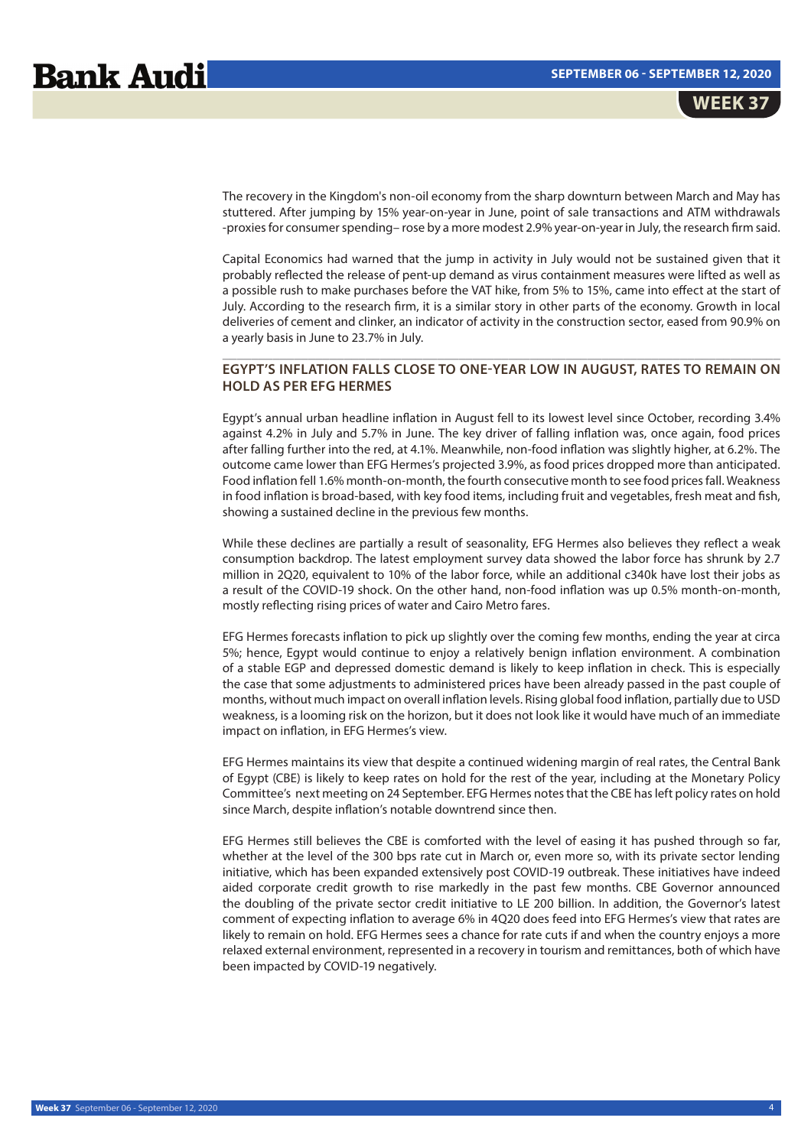The recovery in the Kingdom's non-oil economy from the sharp downturn between March and May has stuttered. After jumping by 15% year-on-year in June, point of sale transactions and ATM withdrawals -proxies for consumer spending– rose by a more modest 2.9% year-on-year in July, the research firm said.

Capital Economics had warned that the jump in activity in July would not be sustained given that it probably reflected the release of pent-up demand as virus containment measures were lifted as well as a possible rush to make purchases before the VAT hike, from 5% to 15%, came into effect at the start of July. According to the research firm, it is a similar story in other parts of the economy. Growth in local deliveries of cement and clinker, an indicator of activity in the construction sector, eased from 90.9% on a yearly basis in June to 23.7% in July.

## \_\_\_\_\_\_\_\_\_\_\_\_\_\_\_\_\_\_\_\_\_\_\_\_\_\_\_\_\_\_\_\_\_\_\_\_\_\_\_\_\_\_\_\_\_\_\_\_\_\_\_\_\_\_\_\_\_\_\_\_\_\_\_\_\_\_\_\_\_\_\_\_\_\_\_\_\_\_ **EGYPT'S INFLATION FALLS CLOSE TO ONE-YEAR LOW IN AUGUST, RATES TO REMAIN ON HOLD AS PER EFG HERMES**

Egypt's annual urban headline inflation in August fell to its lowest level since October, recording 3.4% against 4.2% in July and 5.7% in June. The key driver of falling inflation was, once again, food prices after falling further into the red, at 4.1%. Meanwhile, non-food inflation was slightly higher, at 6.2%. The outcome came lower than EFG Hermes's projected 3.9%, as food prices dropped more than anticipated. Food inflation fell 1.6% month-on-month, the fourth consecutive month to see food prices fall. Weakness in food inflation is broad-based, with key food items, including fruit and vegetables, fresh meat and fish, showing a sustained decline in the previous few months.

While these declines are partially a result of seasonality, EFG Hermes also believes they reflect a weak consumption backdrop. The latest employment survey data showed the labor force has shrunk by 2.7 million in 2Q20, equivalent to 10% of the labor force, while an additional c340k have lost their jobs as a result of the COVID-19 shock. On the other hand, non-food inflation was up 0.5% month-on-month, mostly reflecting rising prices of water and Cairo Metro fares.

EFG Hermes forecasts inflation to pick up slightly over the coming few months, ending the year at circa 5%; hence, Egypt would continue to enjoy a relatively benign inflation environment. A combination of a stable EGP and depressed domestic demand is likely to keep inflation in check. This is especially the case that some adjustments to administered prices have been already passed in the past couple of months, without much impact on overall inflation levels. Rising global food inflation, partially due to USD weakness, is a looming risk on the horizon, but it does not look like it would have much of an immediate impact on inflation, in EFG Hermes's view.

EFG Hermes maintains its view that despite a continued widening margin of real rates, the Central Bank of Egypt (CBE) is likely to keep rates on hold for the rest of the year, including at the Monetary Policy Committee's next meeting on 24 September. EFG Hermes notes that the CBE has left policy rates on hold since March, despite inflation's notable downtrend since then.

EFG Hermes still believes the CBE is comforted with the level of easing it has pushed through so far, whether at the level of the 300 bps rate cut in March or, even more so, with its private sector lending initiative, which has been expanded extensively post COVID-19 outbreak. These initiatives have indeed aided corporate credit growth to rise markedly in the past few months. CBE Governor announced the doubling of the private sector credit initiative to LE 200 billion. In addition, the Governor's latest comment of expecting inflation to average 6% in 4Q20 does feed into EFG Hermes's view that rates are likely to remain on hold. EFG Hermes sees a chance for rate cuts if and when the country enjoys a more relaxed external environment, represented in a recovery in tourism and remittances, both of which have been impacted by COVID-19 negatively.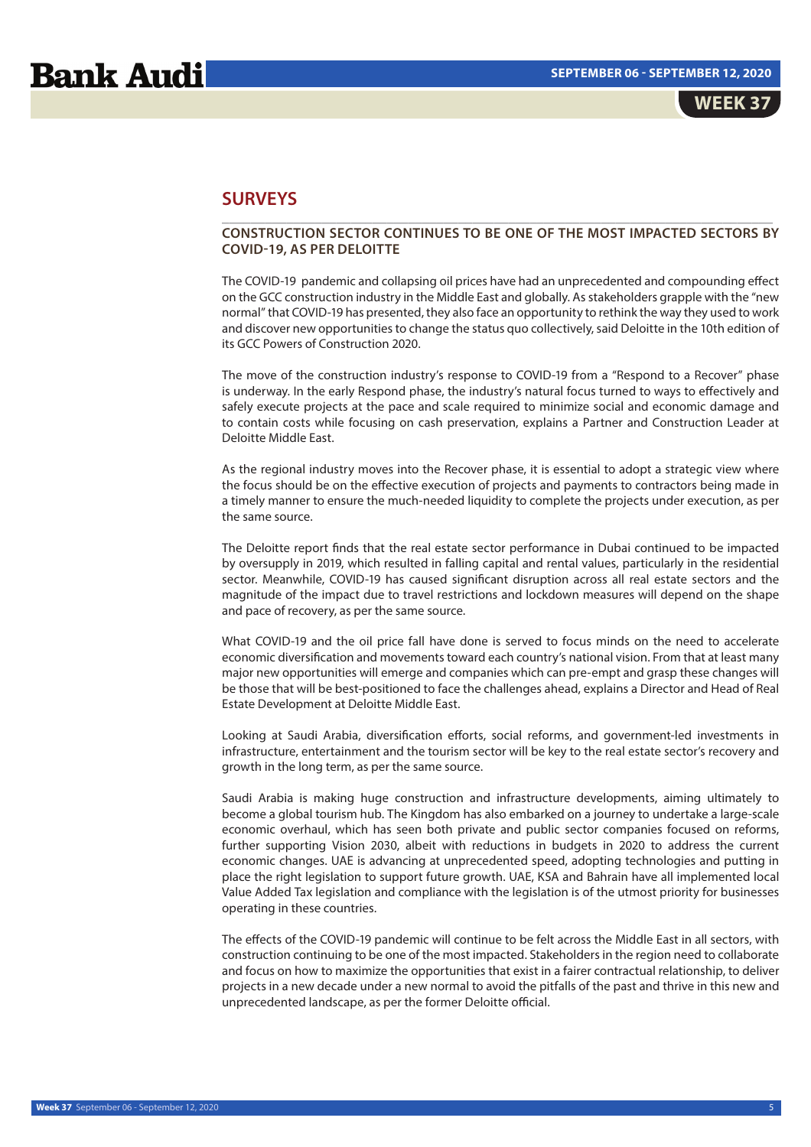WEEK 3<sup>.</sup>

## **SURVEYS**

## \_\_\_\_\_\_\_\_\_\_\_\_\_\_\_\_\_\_\_\_\_\_\_\_\_\_\_\_\_\_\_\_\_\_\_\_\_\_\_\_\_\_\_\_\_\_\_\_\_\_\_\_\_\_\_\_\_\_\_\_\_\_\_\_\_\_\_\_\_\_\_\_\_\_\_\_\_ **CONSTRUCTION SECTOR CONTINUES TO BE ONE OF THE MOST IMPACTED SECTORS BY COVID-19, AS PER DELOITTE**

The COVID-19 pandemic and collapsing oil prices have had an unprecedented and compounding effect on the GCC construction industry in the Middle East and globally. As stakeholders grapple with the "new normal" that COVID-19 has presented, they also face an opportunity to rethink the way they used to work and discover new opportunities to change the status quo collectively, said Deloitte in the 10th edition of its GCC Powers of Construction 2020.

The move of the construction industry's response to COVID-19 from a "Respond to a Recover" phase is underway. In the early Respond phase, the industry's natural focus turned to ways to effectively and safely execute projects at the pace and scale required to minimize social and economic damage and to contain costs while focusing on cash preservation, explains a Partner and Construction Leader at Deloitte Middle East.

As the regional industry moves into the Recover phase, it is essential to adopt a strategic view where the focus should be on the effective execution of projects and payments to contractors being made in a timely manner to ensure the much-needed liquidity to complete the projects under execution, as per the same source.

The Deloitte report finds that the real estate sector performance in Dubai continued to be impacted by oversupply in 2019, which resulted in falling capital and rental values, particularly in the residential sector. Meanwhile, COVID-19 has caused significant disruption across all real estate sectors and the magnitude of the impact due to travel restrictions and lockdown measures will depend on the shape and pace of recovery, as per the same source.

What COVID-19 and the oil price fall have done is served to focus minds on the need to accelerate economic diversification and movements toward each country's national vision. From that at least many major new opportunities will emerge and companies which can pre-empt and grasp these changes will be those that will be best-positioned to face the challenges ahead, explains a Director and Head of Real Estate Development at Deloitte Middle East.

Looking at Saudi Arabia, diversification efforts, social reforms, and government-led investments in infrastructure, entertainment and the tourism sector will be key to the real estate sector's recovery and growth in the long term, as per the same source.

Saudi Arabia is making huge construction and infrastructure developments, aiming ultimately to become a global tourism hub. The Kingdom has also embarked on a journey to undertake a large-scale economic overhaul, which has seen both private and public sector companies focused on reforms, further supporting Vision 2030, albeit with reductions in budgets in 2020 to address the current economic changes. UAE is advancing at unprecedented speed, adopting technologies and putting in place the right legislation to support future growth. UAE, KSA and Bahrain have all implemented local Value Added Tax legislation and compliance with the legislation is of the utmost priority for businesses operating in these countries.

The effects of the COVID-19 pandemic will continue to be felt across the Middle East in all sectors, with construction continuing to be one of the most impacted. Stakeholders in the region need to collaborate and focus on how to maximize the opportunities that exist in a fairer contractual relationship, to deliver projects in a new decade under a new normal to avoid the pitfalls of the past and thrive in this new and unprecedented landscape, as per the former Deloitte official.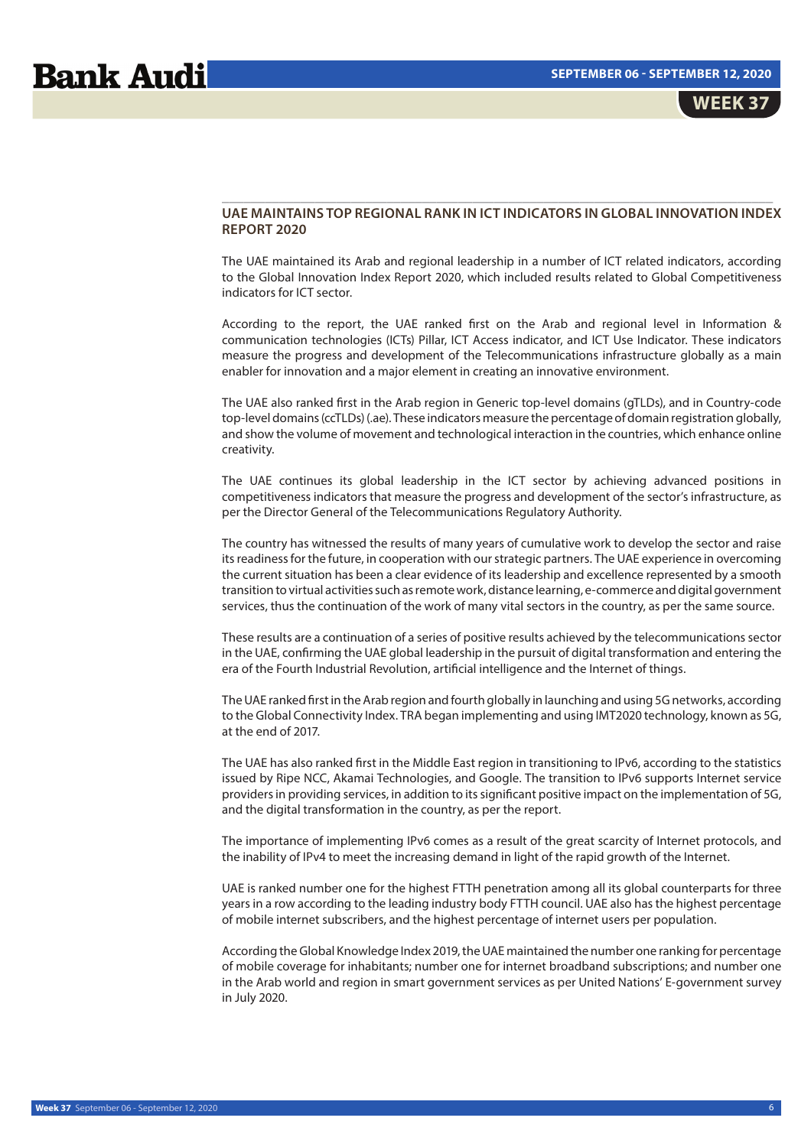## **UAE MAINTAINS TOP REGIONAL RANK IN ICT INDICATORS IN GLOBAL INNOVATION INDEX REPORT 2020**

\_\_\_\_\_\_\_\_\_\_\_\_\_\_\_\_\_\_\_\_\_\_\_\_\_\_\_\_\_\_\_\_\_\_\_\_\_\_\_\_\_\_\_\_\_\_\_\_\_\_\_\_\_\_\_\_\_\_\_\_\_\_\_\_\_\_\_\_\_\_\_\_\_\_\_\_\_

The UAE maintained its Arab and regional leadership in a number of ICT related indicators, according to the Global Innovation Index Report 2020, which included results related to Global Competitiveness indicators for ICT sector.

According to the report, the UAE ranked first on the Arab and regional level in Information & communication technologies (ICTs) Pillar, ICT Access indicator, and ICT Use Indicator. These indicators measure the progress and development of the Telecommunications infrastructure globally as a main enabler for innovation and a major element in creating an innovative environment.

The UAE also ranked first in the Arab region in Generic top-level domains (gTLDs), and in Country-code top-level domains (ccTLDs) (.ae). These indicators measure the percentage of domain registration globally, and show the volume of movement and technological interaction in the countries, which enhance online creativity.

The UAE continues its global leadership in the ICT sector by achieving advanced positions in competitiveness indicators that measure the progress and development of the sector's infrastructure, as per the Director General of the Telecommunications Regulatory Authority.

The country has witnessed the results of many years of cumulative work to develop the sector and raise its readiness for the future, in cooperation with our strategic partners. The UAE experience in overcoming the current situation has been a clear evidence of its leadership and excellence represented by a smooth transition to virtual activities such as remote work, distance learning, e-commerce and digital government services, thus the continuation of the work of many vital sectors in the country, as per the same source.

These results are a continuation of a series of positive results achieved by the telecommunications sector in the UAE, confirming the UAE global leadership in the pursuit of digital transformation and entering the era of the Fourth Industrial Revolution, artificial intelligence and the Internet of things.

The UAE ranked first in the Arab region and fourth globally in launching and using 5G networks, according to the Global Connectivity Index. TRA began implementing and using IMT2020 technology, known as 5G, at the end of 2017.

The UAE has also ranked first in the Middle East region in transitioning to IPv6, according to the statistics issued by Ripe NCC, Akamai Technologies, and Google. The transition to IPv6 supports Internet service providers in providing services, in addition to its significant positive impact on the implementation of 5G, and the digital transformation in the country, as per the report.

The importance of implementing IPv6 comes as a result of the great scarcity of Internet protocols, and the inability of IPv4 to meet the increasing demand in light of the rapid growth of the Internet.

UAE is ranked number one for the highest FTTH penetration among all its global counterparts for three years in a row according to the leading industry body FTTH council. UAE also has the highest percentage of mobile internet subscribers, and the highest percentage of internet users per population.

According the Global Knowledge Index 2019, the UAE maintained the number one ranking for percentage of mobile coverage for inhabitants; number one for internet broadband subscriptions; and number one in the Arab world and region in smart government services as per United Nations' E-government survey in July 2020.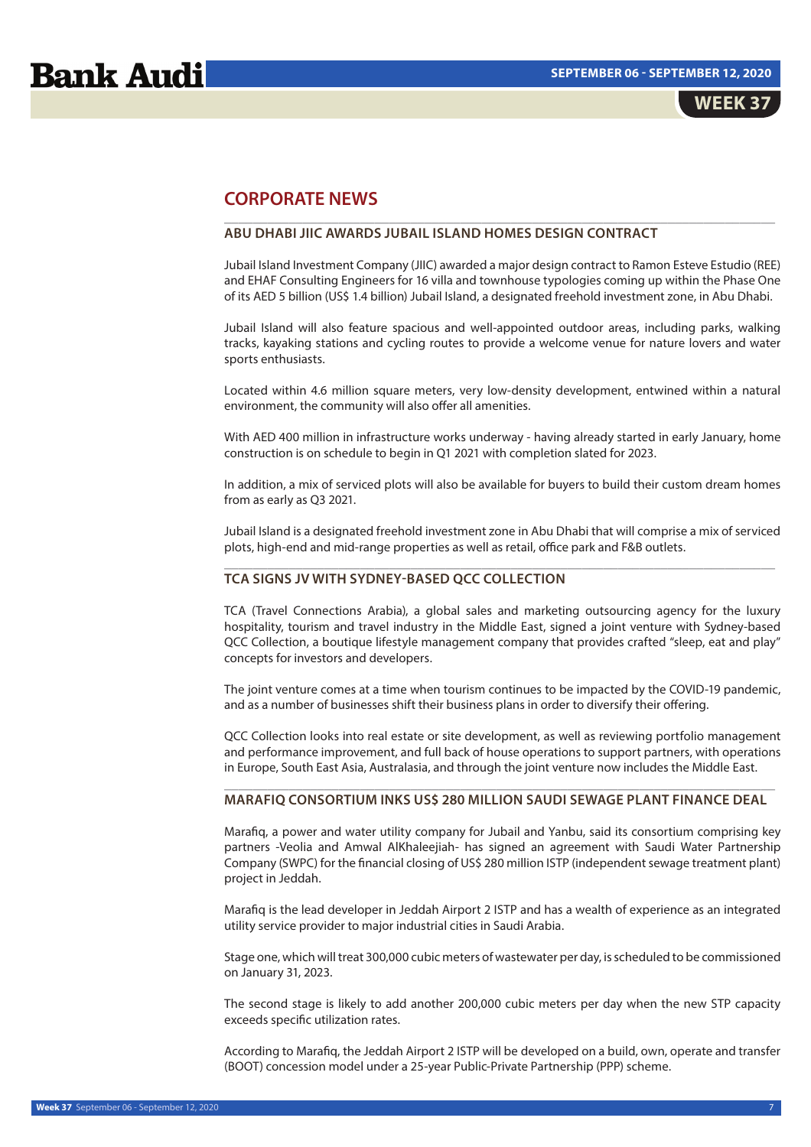# **Bank Audi**

# **CORPORATE NEWS**

## **ABU DHABI JIIC AWARDS JUBAIL ISLAND HOMES DESIGN CONTRACT**

Jubail Island Investment Company (JIIC) awarded a major design contract to Ramon Esteve Estudio (REE) and EHAF Consulting Engineers for 16 villa and townhouse typologies coming up within the Phase One of its AED 5 billion (US\$ 1.4 billion) Jubail Island, a designated freehold investment zone, in Abu Dhabi.

\_\_\_\_\_\_\_\_\_\_\_\_\_\_\_\_\_\_\_\_\_\_\_\_\_\_\_\_\_\_\_\_\_\_\_\_\_\_\_\_\_\_\_\_\_\_\_\_\_\_\_\_\_\_\_\_\_\_\_\_\_\_\_\_\_\_\_\_\_\_\_\_\_\_\_\_\_

Jubail Island will also feature spacious and well-appointed outdoor areas, including parks, walking tracks, kayaking stations and cycling routes to provide a welcome venue for nature lovers and water sports enthusiasts.

Located within 4.6 million square meters, very low-density development, entwined within a natural environment, the community will also offer all amenities.

With AED 400 million in infrastructure works underway - having already started in early January, home construction is on schedule to begin in Q1 2021 with completion slated for 2023.

In addition, a mix of serviced plots will also be available for buyers to build their custom dream homes from as early as Q3 2021.

Jubail Island is a designated freehold investment zone in Abu Dhabi that will comprise a mix of serviced plots, high-end and mid-range properties as well as retail, office park and F&B outlets. \_\_\_\_\_\_\_\_\_\_\_\_\_\_\_\_\_\_\_\_\_\_\_\_\_\_\_\_\_\_\_\_\_\_\_\_\_\_\_\_\_\_\_\_\_\_\_\_\_\_\_\_\_\_\_\_\_\_\_\_\_\_\_\_\_\_\_\_\_\_\_\_\_\_\_\_\_

### **TCA SIGNS JV WITH SYDNEY-BASED QCC COLLECTION**

TCA (Travel Connections Arabia), a global sales and marketing outsourcing agency for the luxury hospitality, tourism and travel industry in the Middle East, signed a joint venture with Sydney-based QCC Collection, a boutique lifestyle management company that provides crafted "sleep, eat and play" concepts for investors and developers.

The joint venture comes at a time when tourism continues to be impacted by the COVID-19 pandemic, and as a number of businesses shift their business plans in order to diversify their offering.

QCC Collection looks into real estate or site development, as well as reviewing portfolio management and performance improvement, and full back of house operations to support partners, with operations in Europe, South East Asia, Australasia, and through the joint venture now includes the Middle East.

## \_\_\_\_\_\_\_\_\_\_\_\_\_\_\_\_\_\_\_\_\_\_\_\_\_\_\_\_\_\_\_\_\_\_\_\_\_\_\_\_\_\_\_\_\_\_\_\_\_\_\_\_\_\_\_\_\_\_\_\_\_\_\_\_\_\_\_\_\_\_\_\_\_\_\_\_\_ **MARAFIQ CONSORTIUM INKS US\$ 280 MILLION SAUDI SEWAGE PLANT FINANCE DEAL**

Marafiq, a power and water utility company for Jubail and Yanbu, said its consortium comprising key partners -Veolia and Amwal AlKhaleejiah- has signed an agreement with Saudi Water Partnership Company (SWPC) for the financial closing of US\$ 280 million ISTP (independent sewage treatment plant) project in Jeddah.

Marafiq is the lead developer in Jeddah Airport 2 ISTP and has a wealth of experience as an integrated utility service provider to major industrial cities in Saudi Arabia.

Stage one, which will treat 300,000 cubic meters of wastewater per day, is scheduled to be commissioned on January 31, 2023.

The second stage is likely to add another 200,000 cubic meters per day when the new STP capacity exceeds specific utilization rates.

According to Marafiq, the Jeddah Airport 2 ISTP will be developed on a build, own, operate and transfer (BOOT) concession model under a 25-year Public-Private Partnership (PPP) scheme.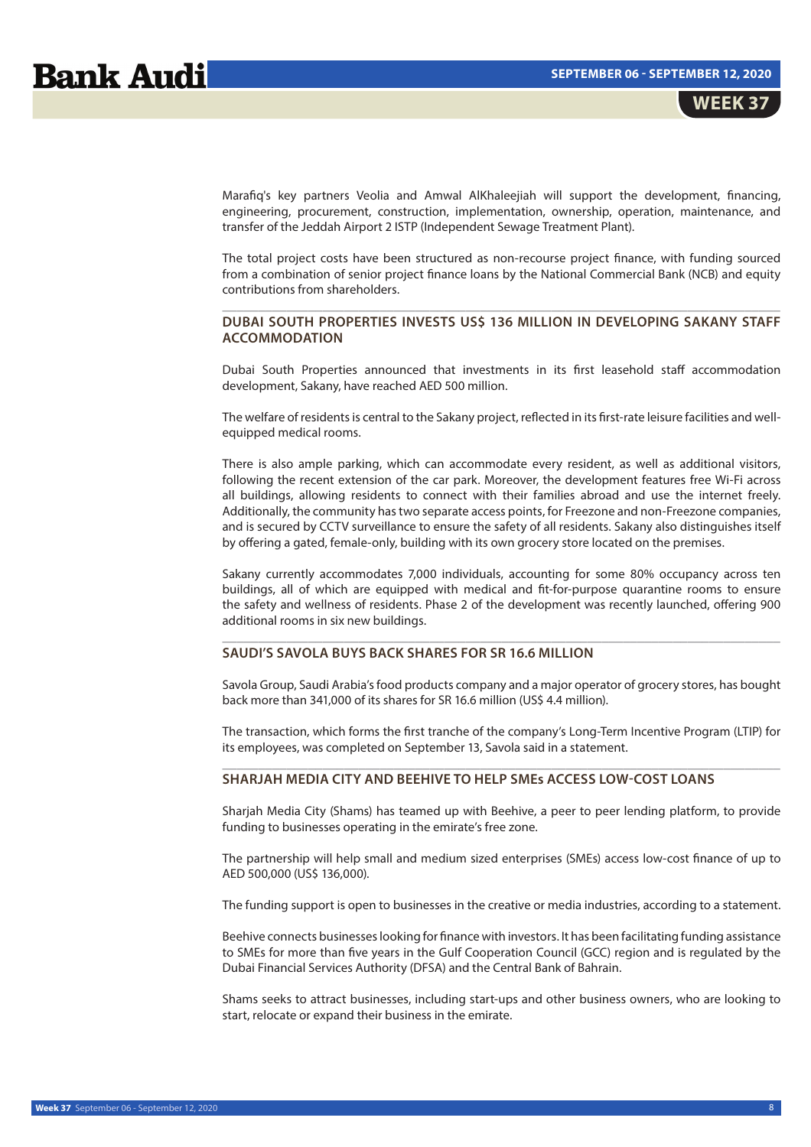Marafiq's key partners Veolia and Amwal AlKhaleejiah will support the development, financing, engineering, procurement, construction, implementation, ownership, operation, maintenance, and transfer of the Jeddah Airport 2 ISTP (Independent Sewage Treatment Plant).

The total project costs have been structured as non-recourse project finance, with funding sourced from a combination of senior project finance loans by the National Commercial Bank (NCB) and equity contributions from shareholders.

## \_\_\_\_\_\_\_\_\_\_\_\_\_\_\_\_\_\_\_\_\_\_\_\_\_\_\_\_\_\_\_\_\_\_\_\_\_\_\_\_\_\_\_\_\_\_\_\_\_\_\_\_\_\_\_\_\_\_\_\_\_\_\_\_\_\_\_\_\_\_\_\_\_\_\_\_\_\_ **DUBAI SOUTH PROPERTIES INVESTS US\$ 136 MILLION IN DEVELOPING SAKANY STAFF ACCOMMODATION**

Dubai South Properties announced that investments in its first leasehold staff accommodation development, Sakany, have reached AED 500 million.

The welfare of residents is central to the Sakany project, reflected in its first-rate leisure facilities and wellequipped medical rooms.

There is also ample parking, which can accommodate every resident, as well as additional visitors, following the recent extension of the car park. Moreover, the development features free Wi-Fi across all buildings, allowing residents to connect with their families abroad and use the internet freely. Additionally, the community has two separate access points, for Freezone and non-Freezone companies, and is secured by CCTV surveillance to ensure the safety of all residents. Sakany also distinguishes itself by offering a gated, female-only, building with its own grocery store located on the premises.

Sakany currently accommodates 7,000 individuals, accounting for some 80% occupancy across ten buildings, all of which are equipped with medical and fit-for-purpose quarantine rooms to ensure the safety and wellness of residents. Phase 2 of the development was recently launched, offering 900 additional rooms in six new buildings.

\_\_\_\_\_\_\_\_\_\_\_\_\_\_\_\_\_\_\_\_\_\_\_\_\_\_\_\_\_\_\_\_\_\_\_\_\_\_\_\_\_\_\_\_\_\_\_\_\_\_\_\_\_\_\_\_\_\_\_\_\_\_\_\_\_\_\_\_\_\_\_\_\_\_\_\_\_\_

## **SAUDI'S SAVOLA BUYS BACK SHARES FOR SR 16.6 MILLION**

Savola Group, Saudi Arabia's food products company and a major operator of grocery stores, has bought back more than 341,000 of its shares for SR 16.6 million (US\$ 4.4 million).

The transaction, which forms the first tranche of the company's Long-Term Incentive Program (LTIP) for its employees, was completed on September 13, Savola said in a statement. \_\_\_\_\_\_\_\_\_\_\_\_\_\_\_\_\_\_\_\_\_\_\_\_\_\_\_\_\_\_\_\_\_\_\_\_\_\_\_\_\_\_\_\_\_\_\_\_\_\_\_\_\_\_\_\_\_\_\_\_\_\_\_\_\_\_\_\_\_\_\_\_\_\_\_\_\_\_

### **SHARJAH MEDIA CITY AND BEEHIVE TO HELP SMEs ACCESS LOW-COST LOANS**

Sharjah Media City (Shams) has teamed up with Beehive, a peer to peer lending platform, to provide funding to businesses operating in the emirate's free zone.

The partnership will help small and medium sized enterprises (SMEs) access low-cost finance of up to AED 500,000 (US\$ 136,000).

The funding support is open to businesses in the creative or media industries, according to a statement.

Beehive connects businesses looking for finance with investors. It has been facilitating funding assistance to SMEs for more than five years in the Gulf Cooperation Council (GCC) region and is regulated by the Dubai Financial Services Authority (DFSA) and the Central Bank of Bahrain.

Shams seeks to attract businesses, including start-ups and other business owners, who are looking to start, relocate or expand their business in the emirate.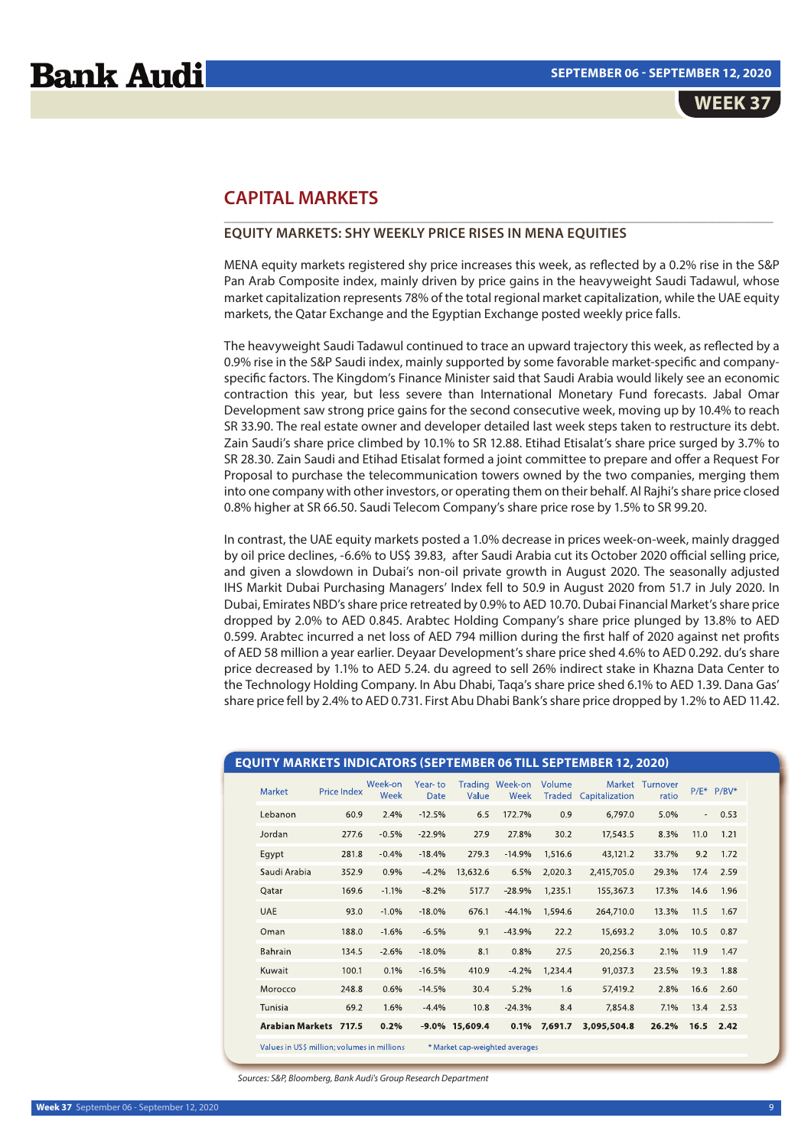# **Bank Audi**

# **CAPITAL MARKETS**

## **EQUITY MARKETS: SHY WEEKLY PRICE RISES IN MENA EQUITIES**

MENA equity markets registered shy price increases this week, as reflected by a 0.2% rise in the S&P Pan Arab Composite index, mainly driven by price gains in the heavyweight Saudi Tadawul, whose market capitalization represents 78% of the total regional market capitalization, while the UAE equity markets, the Qatar Exchange and the Egyptian Exchange posted weekly price falls.

\_\_\_\_\_\_\_\_\_\_\_\_\_\_\_\_\_\_\_\_\_\_\_\_\_\_\_\_\_\_\_\_\_\_\_\_\_\_\_\_\_\_\_\_\_\_\_\_\_\_\_\_\_\_\_\_\_\_\_\_\_\_\_\_\_\_\_\_\_\_\_\_\_\_\_\_

The heavyweight Saudi Tadawul continued to trace an upward trajectory this week, as reflected by a 0.9% rise in the S&P Saudi index, mainly supported by some favorable market-specific and companyspecific factors. The Kingdom's Finance Minister said that Saudi Arabia would likely see an economic contraction this year, but less severe than International Monetary Fund forecasts. Jabal Omar Development saw strong price gains for the second consecutive week, moving up by 10.4% to reach SR 33.90. The real estate owner and developer detailed last week steps taken to restructure its debt. Zain Saudi's share price climbed by 10.1% to SR 12.88. Etihad Etisalat's share price surged by 3.7% to SR 28.30. Zain Saudi and Etihad Etisalat formed a joint committee to prepare and offer a Request For Proposal to purchase the telecommunication towers owned by the two companies, merging them into one company with other investors, or operating them on their behalf. Al Rajhi's share price closed 0.8% higher at SR 66.50. Saudi Telecom Company's share price rose by 1.5% to SR 99.20.

In contrast, the UAE equity markets posted a 1.0% decrease in prices week-on-week, mainly dragged by oil price declines, -6.6% to US\$ 39.83, after Saudi Arabia cut its October 2020 official selling price, and given a slowdown in Dubai's non-oil private growth in August 2020. The seasonally adjusted IHS Markit Dubai Purchasing Managers' Index fell to 50.9 in August 2020 from 51.7 in July 2020. In Dubai, Emirates NBD's share price retreated by 0.9% to AED 10.70. Dubai Financial Market's share price dropped by 2.0% to AED 0.845. Arabtec Holding Company's share price plunged by 13.8% to AED 0.599. Arabtec incurred a net loss of AED 794 million during the first half of 2020 against net profits of AED 58 million a year earlier. Deyaar Development's share price shed 4.6% to AED 0.292. du's share price decreased by 1.1% to AED 5.24. du agreed to sell 26% indirect stake in Khazna Data Center to the Technology Holding Company. In Abu Dhabi, Taqa's share price shed 6.1% to AED 1.39. Dana Gas' share price fell by 2.4% to AED 0.731. First Abu Dhabi Bank's share price dropped by 1.2% to AED 11.42.

| <b>EQUITY MARKETS INDICATORS (SEPTEMBER 06 TILL SEPTEMBER 12, 2020)</b> |             |                        |                        |                   |                                |         |                              |                          |        |            |
|-------------------------------------------------------------------------|-------------|------------------------|------------------------|-------------------|--------------------------------|---------|------------------------------|--------------------------|--------|------------|
| <b>Market</b>                                                           | Price Index | Week-on<br><b>Week</b> | Year-to<br><b>Date</b> | Value             | Trading Week-on<br>Week        | Volume  | <b>Traded Capitalization</b> | Market Turnover<br>ratio |        | P/E* P/BV* |
| Lebanon                                                                 | 60.9        | 2.4%                   | $-12.5%$               | 6.5               | 172.7%                         | 0.9     | 6,797.0                      | 5.0%                     | $\sim$ | 0.53       |
| Jordan                                                                  | 277.6       | $-0.5%$                | $-22.9%$               | 27.9              | 27.8%                          | 30.2    | 17,543.5                     | 8.3%                     | 11.0   | 1.21       |
| Egypt                                                                   | 281.8       | $-0.4%$                | $-18.4%$               | 279.3             | $-14.9%$                       | 1,516.6 | 43,121.2                     | 33.7%                    | 9.2    | 1.72       |
| Saudi Arabia                                                            | 352.9       | 0.9%                   | $-4.2%$                | 13,632.6          | 6.5%                           | 2,020.3 | 2,415,705.0                  | 29.3%                    | 17.4   | 2.59       |
| Qatar                                                                   | 169.6       | $-1.1%$                | $-8.2%$                | 517.7             | $-28.9%$                       | 1,235.1 | 155,367.3                    | 17.3%                    | 14.6   | 1.96       |
| <b>UAE</b>                                                              | 93.0        | $-1.0%$                | $-18.0%$               | 676.1             | $-44.1%$                       | 1,594.6 | 264,710.0                    | 13.3%                    | 11.5   | 1.67       |
| Oman                                                                    | 188.0       | $-1.6%$                | $-6.5%$                | 9.1               | $-43.9%$                       | 22.2    | 15,693.2                     | 3.0%                     | 10.5   | 0.87       |
| Bahrain                                                                 | 134.5       | $-2.6%$                | $-18.0%$               | 8.1               | 0.8%                           | 27.5    | 20,256.3                     | 2.1%                     | 11.9   | 1.47       |
| Kuwait                                                                  | 100.1       | 0.1%                   | $-16.5%$               | 410.9             | $-4.2%$                        | 1,234.4 | 91,037.3                     | 23.5%                    | 19.3   | 1.88       |
| Morocco                                                                 | 248.8       | 0.6%                   | $-14.5%$               | 30.4              | 5.2%                           | 1.6     | 57,419.2                     | 2.8%                     | 16.6   | 2.60       |
| Tunisia                                                                 | 69.2        | 1.6%                   | $-4.4%$                | 10.8              | $-24.3%$                       | 8.4     | 7,854.8                      | 7.1%                     | 13.4   | 2.53       |
| Arabian Markets 717.5                                                   |             | 0.2%                   |                        | $-9.0\%$ 15,609.4 | 0.1%                           | 7,691.7 | 3,095,504.8                  | 26.2%                    | 16.5   | 2.42       |
| Values in US\$ million: volumes in millions                             |             |                        |                        |                   | * Market cap-weighted averages |         |                              |                          |        |            |

Sources: S&P, Bloomberg, Bank Audi's Group Research Department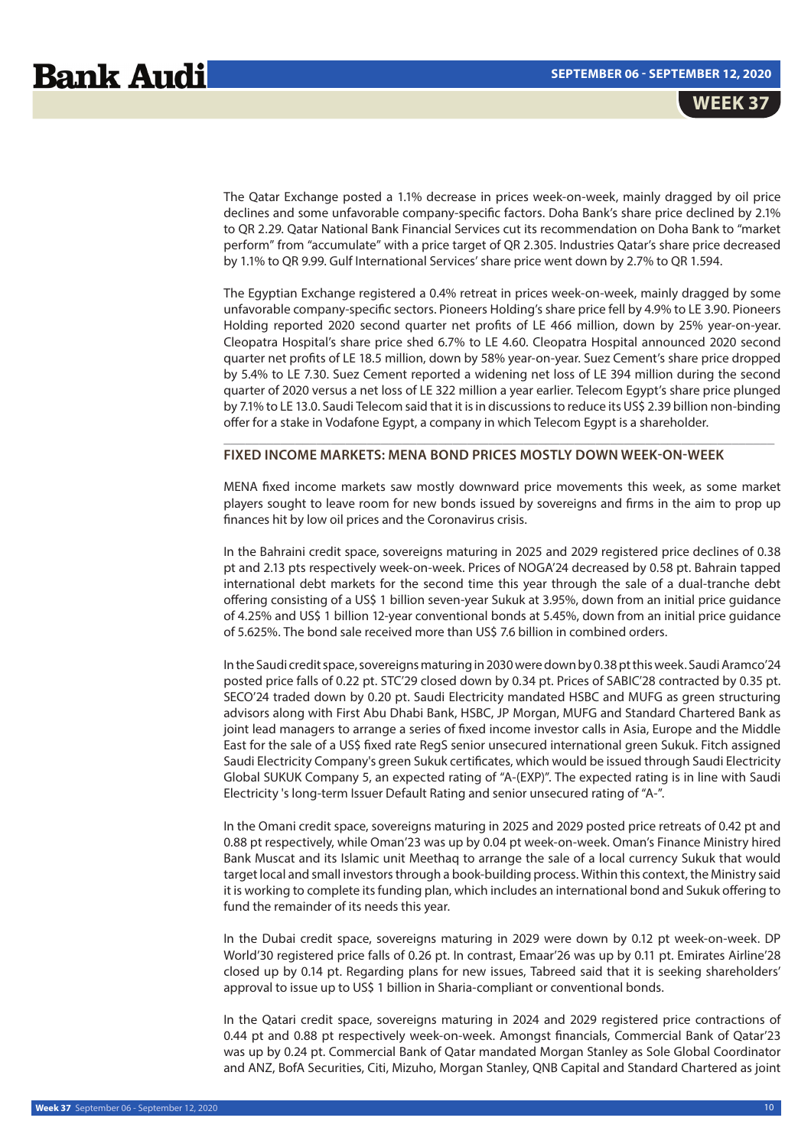The Qatar Exchange posted a 1.1% decrease in prices week-on-week, mainly dragged by oil price declines and some unfavorable company-specific factors. Doha Bank's share price declined by 2.1% to QR 2.29. Qatar National Bank Financial Services cut its recommendation on Doha Bank to "market perform" from "accumulate" with a price target of QR 2.305. Industries Qatar's share price decreased by 1.1% to QR 9.99. Gulf International Services' share price went down by 2.7% to QR 1.594.

The Egyptian Exchange registered a 0.4% retreat in prices week-on-week, mainly dragged by some unfavorable company-specific sectors. Pioneers Holding's share price fell by 4.9% to LE 3.90. Pioneers Holding reported 2020 second quarter net profits of LE 466 million, down by 25% year-on-year. Cleopatra Hospital's share price shed 6.7% to LE 4.60. Cleopatra Hospital announced 2020 second quarter net profits of LE 18.5 million, down by 58% year-on-year. Suez Cement's share price dropped by 5.4% to LE 7.30. Suez Cement reported a widening net loss of LE 394 million during the second quarter of 2020 versus a net loss of LE 322 million a year earlier. Telecom Egypt's share price plunged by 7.1% to LE 13.0. Saudi Telecom said that it is in discussions to reduce its US\$ 2.39 billion non-binding offer for a stake in Vodafone Egypt, a company in which Telecom Egypt is a shareholder.

## **FIXED INCOME MARKETS: MENA BOND PRICES MOSTLY DOWN WEEK-ON-WEEK**

MENA fixed income markets saw mostly downward price movements this week, as some market players sought to leave room for new bonds issued by sovereigns and firms in the aim to prop up finances hit by low oil prices and the Coronavirus crisis.

\_\_\_\_\_\_\_\_\_\_\_\_\_\_\_\_\_\_\_\_\_\_\_\_\_\_\_\_\_\_\_\_\_\_\_\_\_\_\_\_\_\_\_\_\_\_\_\_\_\_\_\_\_\_\_\_\_\_\_\_\_\_\_\_\_\_\_\_\_\_\_\_\_\_\_\_\_

In the Bahraini credit space, sovereigns maturing in 2025 and 2029 registered price declines of 0.38 pt and 2.13 pts respectively week-on-week. Prices of NOGA'24 decreased by 0.58 pt. Bahrain tapped international debt markets for the second time this year through the sale of a dual-tranche debt offering consisting of a US\$ 1 billion seven-year Sukuk at 3.95%, down from an initial price guidance of 4.25% and US\$ 1 billion 12-year conventional bonds at 5.45%, down from an initial price guidance of 5.625%. The bond sale received more than US\$ 7.6 billion in combined orders.

In the Saudi credit space, sovereigns maturing in 2030 were down by 0.38 pt this week. Saudi Aramco'24 posted price falls of 0.22 pt. STC'29 closed down by 0.34 pt. Prices of SABIC'28 contracted by 0.35 pt. SECO'24 traded down by 0.20 pt. Saudi Electricity mandated HSBC and MUFG as green structuring advisors along with First Abu Dhabi Bank, HSBC, JP Morgan, MUFG and Standard Chartered Bank as joint lead managers to arrange a series of fixed income investor calls in Asia, Europe and the Middle East for the sale of a US\$ fixed rate RegS senior unsecured international green Sukuk. Fitch assigned Saudi Electricity Company's green Sukuk certificates, which would be issued through Saudi Electricity Global SUKUK Company 5, an expected rating of "A-(EXP)". The expected rating is in line with Saudi Electricity 's long-term Issuer Default Rating and senior unsecured rating of "A-".

In the Omani credit space, sovereigns maturing in 2025 and 2029 posted price retreats of 0.42 pt and 0.88 pt respectively, while Oman'23 was up by 0.04 pt week-on-week. Oman's Finance Ministry hired Bank Muscat and its Islamic unit Meethaq to arrange the sale of a local currency Sukuk that would target local and small investors through a book-building process. Within this context, the Ministry said it is working to complete its funding plan, which includes an international bond and Sukuk offering to fund the remainder of its needs this year.

In the Dubai credit space, sovereigns maturing in 2029 were down by 0.12 pt week-on-week. DP World'30 registered price falls of 0.26 pt. In contrast, Emaar'26 was up by 0.11 pt. Emirates Airline'28 closed up by 0.14 pt. Regarding plans for new issues, Tabreed said that it is seeking shareholders' approval to issue up to US\$ 1 billion in Sharia-compliant or conventional bonds.

In the Qatari credit space, sovereigns maturing in 2024 and 2029 registered price contractions of 0.44 pt and 0.88 pt respectively week-on-week. Amongst financials, Commercial Bank of Qatar'23 was up by 0.24 pt. Commercial Bank of Qatar mandated Morgan Stanley as Sole Global Coordinator and ANZ, BofA Securities, Citi, Mizuho, Morgan Stanley, QNB Capital and Standard Chartered as joint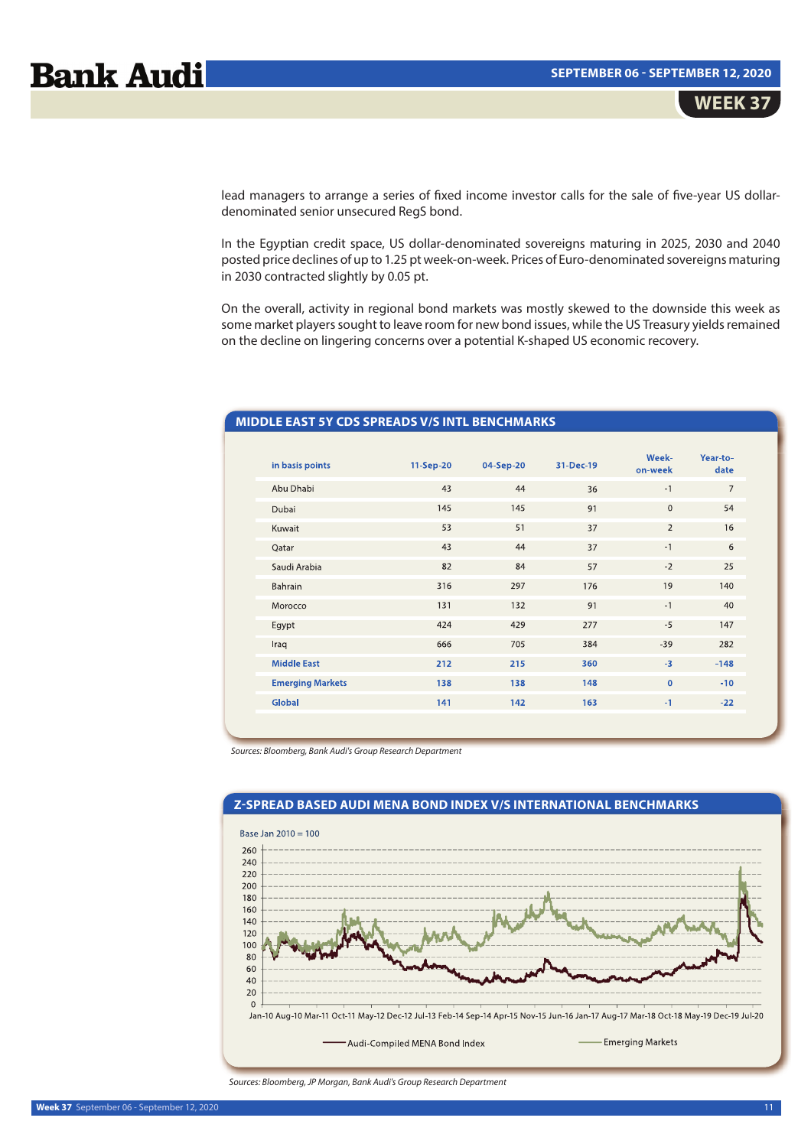lead managers to arrange a series of fixed income investor calls for the sale of five-year US dollardenominated senior unsecured RegS bond.

In the Egyptian credit space, US dollar-denominated sovereigns maturing in 2025, 2030 and 2040 posted price declines of up to 1.25 pt week-on-week. Prices of Euro-denominated sovereigns maturing in 2030 contracted slightly by 0.05 pt.

On the overall, activity in regional bond markets was mostly skewed to the downside this week as some market players sought to leave room for new bond issues, while the US Treasury yields remained on the decline on lingering concerns over a potential K-shaped US economic recovery.

# **MIDDLE EAST 5Y CDS SPREADS V/S INTL BENCHMARKS**

| in basis points         | 11-Sep-20 | 04-Sep-20 | 31-Dec-19 | Week-<br>on-week | Year-to-<br>date |
|-------------------------|-----------|-----------|-----------|------------------|------------------|
| Abu Dhabi               | 43        | 44        | 36        | $-1$             | $\overline{7}$   |
| Dubai                   | 145       | 145       | 91        | $\mathbf{0}$     | 54               |
| Kuwait                  | 53        | 51        | 37        | 2                | 16               |
| Qatar                   | 43        | 44        | 37        | $-1$             | 6                |
| Saudi Arabia            | 82        | 84        | 57        | $-2$             | 25               |
| Bahrain                 | 316       | 297       | 176       | 19               | 140              |
| Morocco                 | 131       | 132       | 91        | $-1$             | 40               |
| Egypt                   | 424       | 429       | 277       | $-5$             | 147              |
| Iraq                    | 666       | 705       | 384       | $-39$            | 282              |
| <b>Middle East</b>      | 212       | 215       | 360       | $-3$             | $-148$           |
| <b>Emerging Markets</b> | 138       | 138       | 148       | $\mathbf{0}$     | $-10$            |
| Global                  | 141       | 142       | 163       | $-1$             | $-22$            |
|                         |           |           |           |                  |                  |

Sources: Bloomberg, Bank Audi's Group Research Department



Sources: Bloomberg, JP Morgan, Bank Audi's Group Research Department